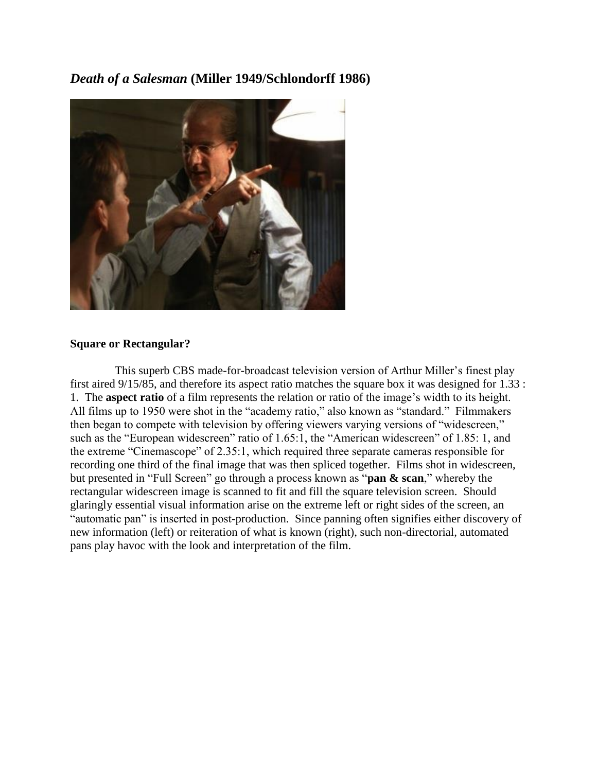*Death of a Salesman* **(Miller 1949/Schlondorff 1986)**



## **Square or Rectangular?**

This superb CBS made-for-broadcast television version of Arthur Miller's finest play first aired 9/15/85, and therefore its aspect ratio matches the square box it was designed for 1.33 : 1. The **aspect ratio** of a film represents the relation or ratio of the image's width to its height. All films up to 1950 were shot in the "academy ratio," also known as "standard." Filmmakers then began to compete with television by offering viewers varying versions of "widescreen," such as the "European widescreen" ratio of 1.65:1, the "American widescreen" of 1.85: 1, and the extreme "Cinemascope" of 2.35:1, which required three separate cameras responsible for recording one third of the final image that was then spliced together. Films shot in widescreen, but presented in "Full Screen" go through a process known as "**pan & scan**," whereby the rectangular widescreen image is scanned to fit and fill the square television screen. Should glaringly essential visual information arise on the extreme left or right sides of the screen, an "automatic pan" is inserted in post-production. Since panning often signifies either discovery of new information (left) or reiteration of what is known (right), such non-directorial, automated pans play havoc with the look and interpretation of the film.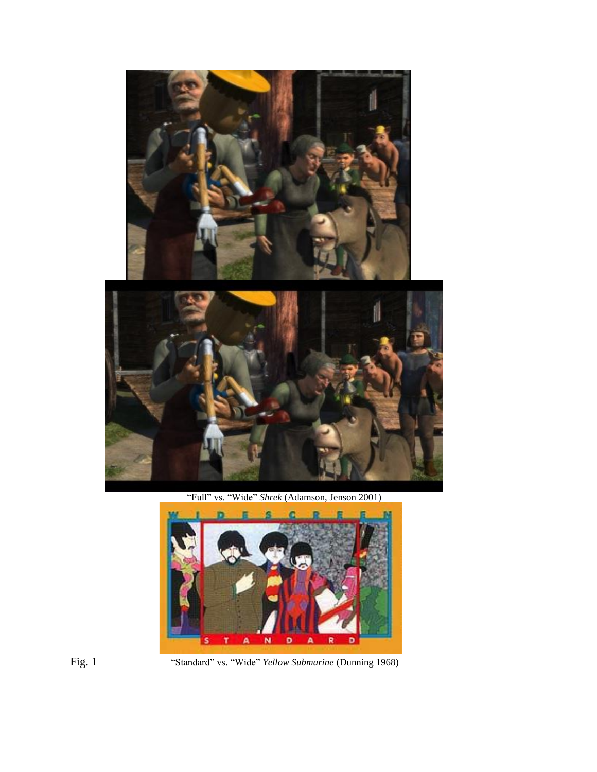

"Full" vs. "Wide" *Shrek* (Adamson, Jenson 2001)



Fig. 1 "Standard" vs. "Wide" *Yellow Submarine* (Dunning 1968)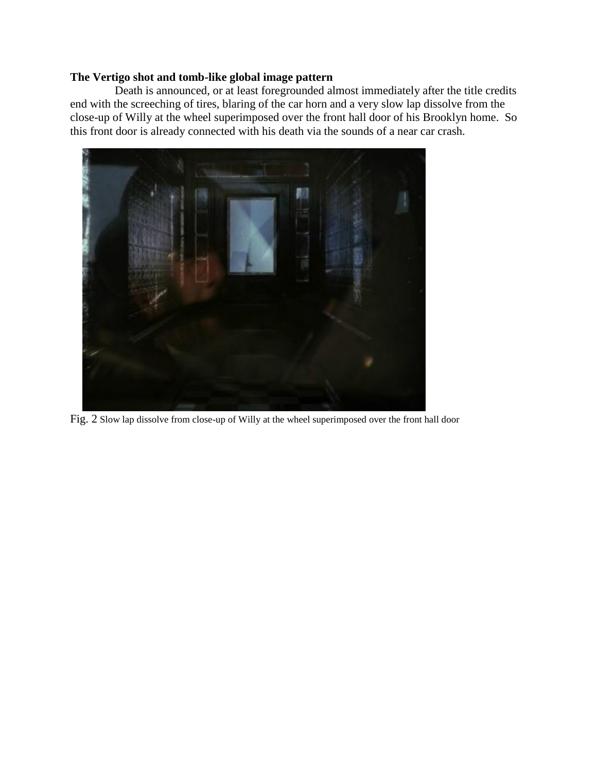## **The Vertigo shot and tomb-like global image pattern**

Death is announced, or at least foregrounded almost immediately after the title credits end with the screeching of tires, blaring of the car horn and a very slow lap dissolve from the close-up of Willy at the wheel superimposed over the front hall door of his Brooklyn home. So this front door is already connected with his death via the sounds of a near car crash.



Fig. 2 Slow lap dissolve from close-up of Willy at the wheel superimposed over the front hall door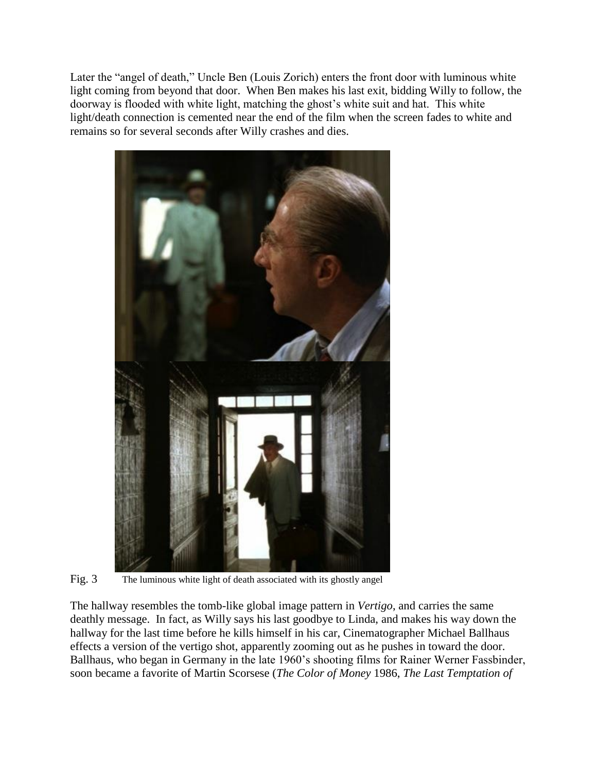Later the "angel of death," Uncle Ben (Louis Zorich) enters the front door with luminous white light coming from beyond that door. When Ben makes his last exit, bidding Willy to follow, the doorway is flooded with white light, matching the ghost's white suit and hat. This white light/death connection is cemented near the end of the film when the screen fades to white and remains so for several seconds after Willy crashes and dies.



Fig. 3 The luminous white light of death associated with its ghostly angel

The hallway resembles the tomb-like global image pattern in *Vertigo*, and carries the same deathly message. In fact, as Willy says his last goodbye to Linda, and makes his way down the hallway for the last time before he kills himself in his car, Cinematographer Michael Ballhaus effects a version of the vertigo shot, apparently zooming out as he pushes in toward the door. Ballhaus, who began in Germany in the late 1960's shooting films for Rainer Werner Fassbinder, soon became a favorite of Martin Scorsese (*The Color of Money* 1986, *The Last Temptation of*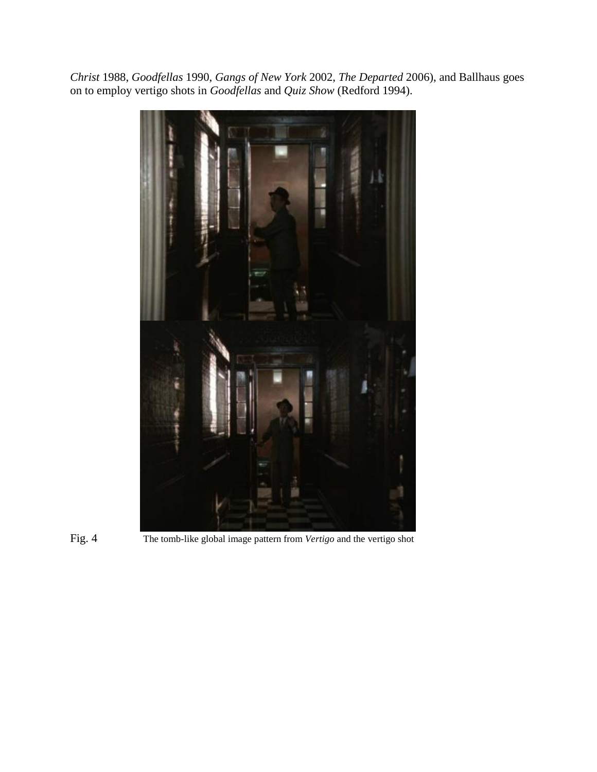*Christ* 1988, *Goodfellas* 1990, *Gangs of New York* 2002, *The Departed* 2006), and Ballhaus goes on to employ vertigo shots in *Goodfellas* and *Quiz Show* (Redford 1994).





Fig. 4 The tomb-like global image pattern from *Vertigo* and the vertigo shot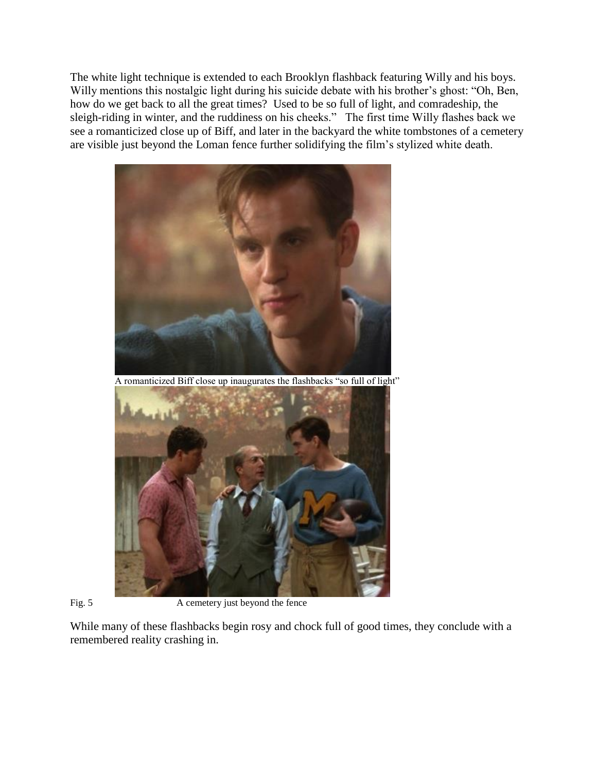The white light technique is extended to each Brooklyn flashback featuring Willy and his boys. Willy mentions this nostalgic light during his suicide debate with his brother's ghost: "Oh, Ben, how do we get back to all the great times? Used to be so full of light, and comradeship, the sleigh-riding in winter, and the ruddiness on his cheeks." The first time Willy flashes back we see a romanticized close up of Biff, and later in the backyard the white tombstones of a cemetery are visible just beyond the Loman fence further solidifying the film's stylized white death.





Fig. 5 A cemetery just beyond the fence

While many of these flashbacks begin rosy and chock full of good times, they conclude with a remembered reality crashing in.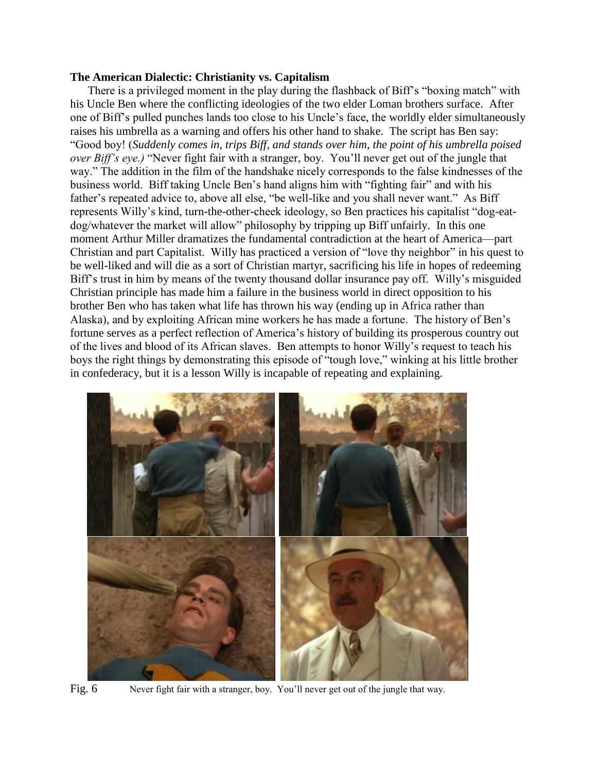### **The American Dialectic: Christianity vs. Capitalism**

There is a privileged moment in the play during the flashback of Biff's "boxing match" with his Uncle Ben where the conflicting ideologies of the two elder Loman brothers surface. After one of Biff's pulled punches lands too close to his Uncle's face, the worldly elder simultaneously raises his umbrella as a warning and offers his other hand to shake. The script has Ben say: "Good boy! (*Suddenly comes in, trips Biff, and stands over him, the point of his umbrella poised over Biff's eye.)* "Never fight fair with a stranger, boy. You'll never get out of the jungle that way." The addition in the film of the handshake nicely corresponds to the false kindnesses of the business world. Biff taking Uncle Ben's hand aligns him with "fighting fair" and with his father's repeated advice to, above all else, "be well-like and you shall never want." As Biff represents Willy's kind, turn-the-other-cheek ideology, so Ben practices his capitalist "dog-eatdog/whatever the market will allow" philosophy by tripping up Biff unfairly. In this one moment Arthur Miller dramatizes the fundamental contradiction at the heart of America—part Christian and part Capitalist. Willy has practiced a version of "love thy neighbor" in his quest to be well-liked and will die as a sort of Christian martyr, sacrificing his life in hopes of redeeming Biff's trust in him by means of the twenty thousand dollar insurance pay off. Willy's misguided Christian principle has made him a failure in the business world in direct opposition to his brother Ben who has taken what life has thrown his way (ending up in Africa rather than Alaska), and by exploiting African mine workers he has made a fortune. The history of Ben's fortune serves as a perfect reflection of America's history of building its prosperous country out of the lives and blood of its African slaves. Ben attempts to honor Willy's request to teach his boys the right things by demonstrating this episode of "tough love," winking at his little brother in confederacy, but it is a lesson Willy is incapable of repeating and explaining.



Fig. 6 Never fight fair with a stranger, boy. You'll never get out of the jungle that way.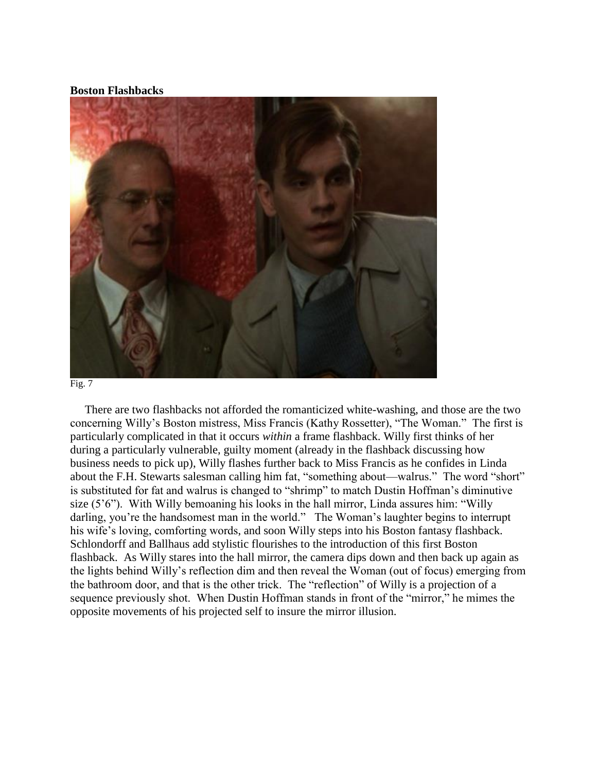### **Boston Flashbacks**





 There are two flashbacks not afforded the romanticized white-washing, and those are the two concerning Willy's Boston mistress, Miss Francis (Kathy Rossetter), "The Woman." The first is particularly complicated in that it occurs *within* a frame flashback. Willy first thinks of her during a particularly vulnerable, guilty moment (already in the flashback discussing how business needs to pick up), Willy flashes further back to Miss Francis as he confides in Linda about the F.H. Stewarts salesman calling him fat, "something about—walrus." The word "short" is substituted for fat and walrus is changed to "shrimp" to match Dustin Hoffman's diminutive size (5'6"). With Willy bemoaning his looks in the hall mirror, Linda assures him: "Willy darling, you're the handsomest man in the world." The Woman's laughter begins to interrupt his wife's loving, comforting words, and soon Willy steps into his Boston fantasy flashback. Schlondorff and Ballhaus add stylistic flourishes to the introduction of this first Boston flashback. As Willy stares into the hall mirror, the camera dips down and then back up again as the lights behind Willy's reflection dim and then reveal the Woman (out of focus) emerging from the bathroom door, and that is the other trick. The "reflection" of Willy is a projection of a sequence previously shot. When Dustin Hoffman stands in front of the "mirror," he mimes the opposite movements of his projected self to insure the mirror illusion.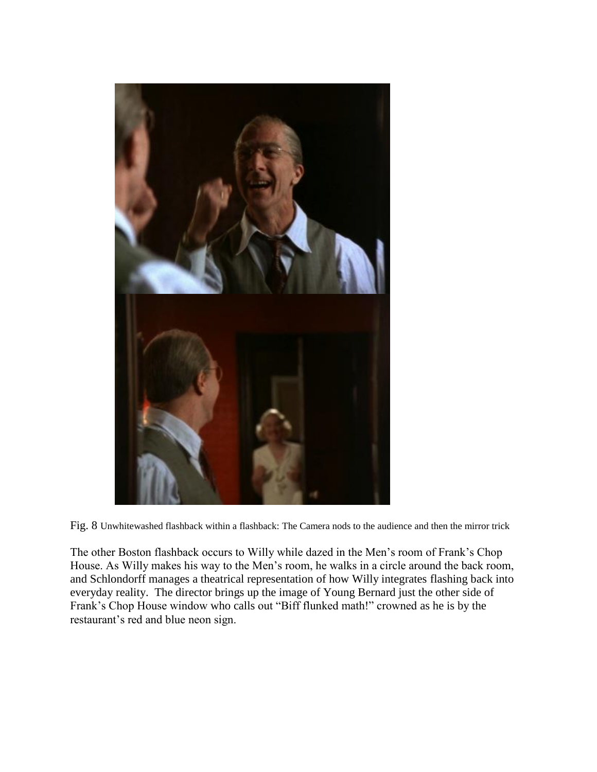

Fig. 8 Unwhitewashed flashback within a flashback: The Camera nods to the audience and then the mirror trick

The other Boston flashback occurs to Willy while dazed in the Men's room of Frank's Chop House. As Willy makes his way to the Men's room, he walks in a circle around the back room, and Schlondorff manages a theatrical representation of how Willy integrates flashing back into everyday reality. The director brings up the image of Young Bernard just the other side of Frank's Chop House window who calls out "Biff flunked math!" crowned as he is by the restaurant's red and blue neon sign.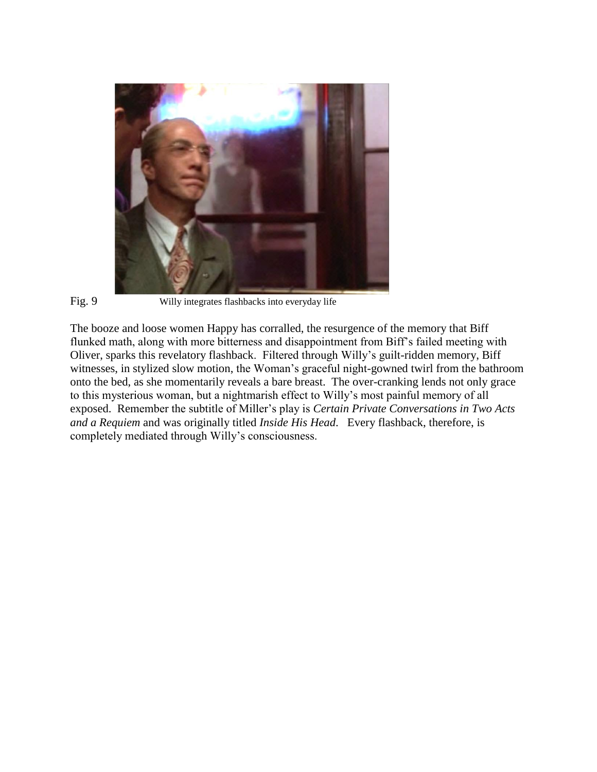

Fig. 9 Willy integrates flashbacks into everyday life

The booze and loose women Happy has corralled, the resurgence of the memory that Biff flunked math, along with more bitterness and disappointment from Biff's failed meeting with Oliver, sparks this revelatory flashback. Filtered through Willy's guilt-ridden memory, Biff witnesses, in stylized slow motion, the Woman's graceful night-gowned twirl from the bathroom onto the bed, as she momentarily reveals a bare breast. The over-cranking lends not only grace to this mysterious woman, but a nightmarish effect to Willy's most painful memory of all exposed. Remember the subtitle of Miller's play is *Certain Private Conversations in Two Acts and a Requiem* and was originally titled *Inside His Head*. Every flashback, therefore, is completely mediated through Willy's consciousness.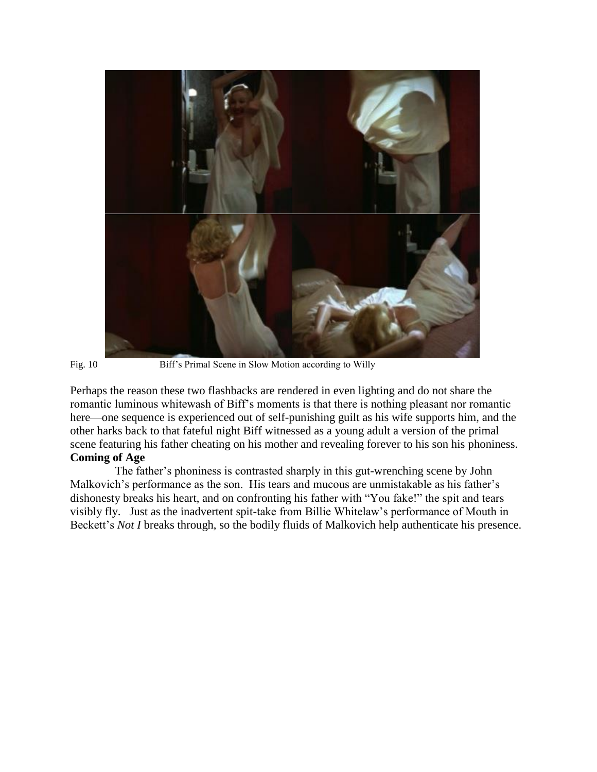

Fig. 10 Biff's Primal Scene in Slow Motion according to Willy

Perhaps the reason these two flashbacks are rendered in even lighting and do not share the romantic luminous whitewash of Biff's moments is that there is nothing pleasant nor romantic here—one sequence is experienced out of self-punishing guilt as his wife supports him, and the other harks back to that fateful night Biff witnessed as a young adult a version of the primal scene featuring his father cheating on his mother and revealing forever to his son his phoniness. **Coming of Age**

The father's phoniness is contrasted sharply in this gut-wrenching scene by John Malkovich's performance as the son. His tears and mucous are unmistakable as his father's dishonesty breaks his heart, and on confronting his father with "You fake!" the spit and tears visibly fly. Just as the inadvertent spit-take from Billie Whitelaw's performance of Mouth in Beckett's *Not I* breaks through, so the bodily fluids of Malkovich help authenticate his presence.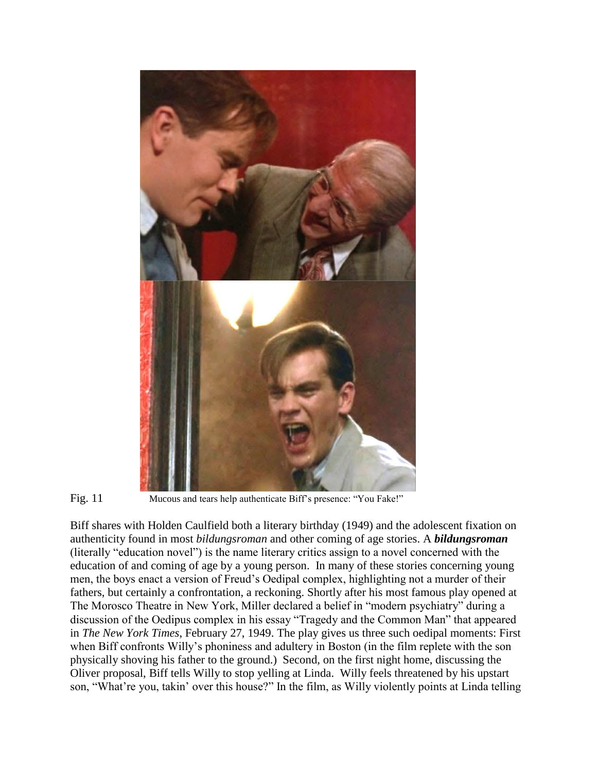

Fig. 11 Mucous and tears help authenticate Biff's presence: "You Fake!"

Biff shares with Holden Caulfield both a literary birthday (1949) and the adolescent fixation on authenticity found in most *bildungsroman* and other coming of age stories. A *bildungsroman*  (literally "education novel") is the name literary critics assign to a novel concerned with the education of and coming of age by a young person. In many of these stories concerning young men, the boys enact a version of Freud's Oedipal complex, highlighting not a murder of their fathers, but certainly a confrontation, a reckoning. Shortly after his most famous play opened at The Morosco Theatre in New York, Miller declared a belief in "modern psychiatry" during a discussion of the Oedipus complex in his essay "Tragedy and the Common Man" that appeared in *The New York Times*, February 27, 1949. The play gives us three such oedipal moments: First when Biff confronts Willy's phoniness and adultery in Boston (in the film replete with the son physically shoving his father to the ground.) Second, on the first night home, discussing the Oliver proposal, Biff tells Willy to stop yelling at Linda. Willy feels threatened by his upstart son, "What're you, takin' over this house?" In the film, as Willy violently points at Linda telling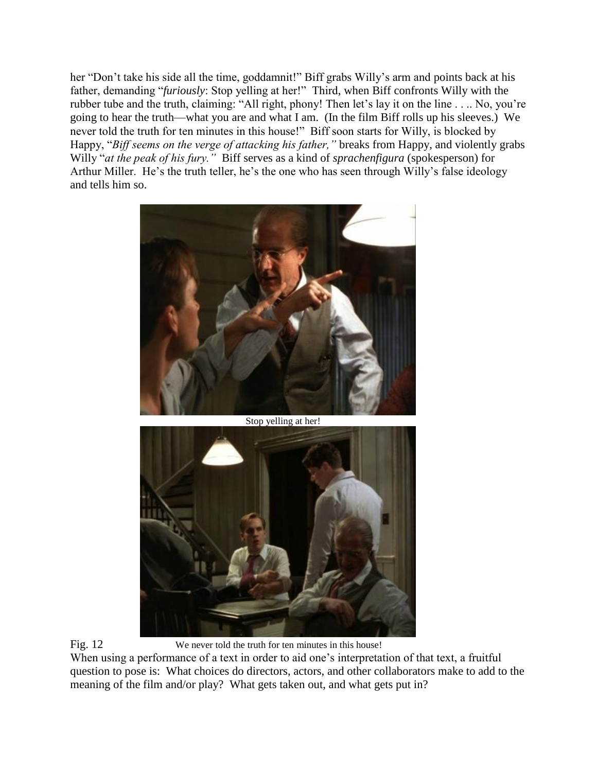her "Don't take his side all the time, goddamnit!" Biff grabs Willy's arm and points back at his father, demanding "*furiously*: Stop yelling at her!" Third, when Biff confronts Willy with the rubber tube and the truth, claiming: "All right, phony! Then let's lay it on the line . . .. No, you're going to hear the truth—what you are and what I am. (In the film Biff rolls up his sleeves.) We never told the truth for ten minutes in this house!" Biff soon starts for Willy, is blocked by Happy, "*Biff seems on the verge of attacking his father,"* breaks from Happy, and violently grabs Willy "*at the peak of his fury."* Biff serves as a kind of *sprachenfigura* (spokesperson) for Arthur Miller. He's the truth teller, he's the one who has seen through Willy's false ideology and tells him so.



Stop yelling at her!





Fig. 12 We never told the truth for ten minutes in this house!

When using a performance of a text in order to aid one's interpretation of that text, a fruitful question to pose is: What choices do directors, actors, and other collaborators make to add to the meaning of the film and/or play? What gets taken out, and what gets put in?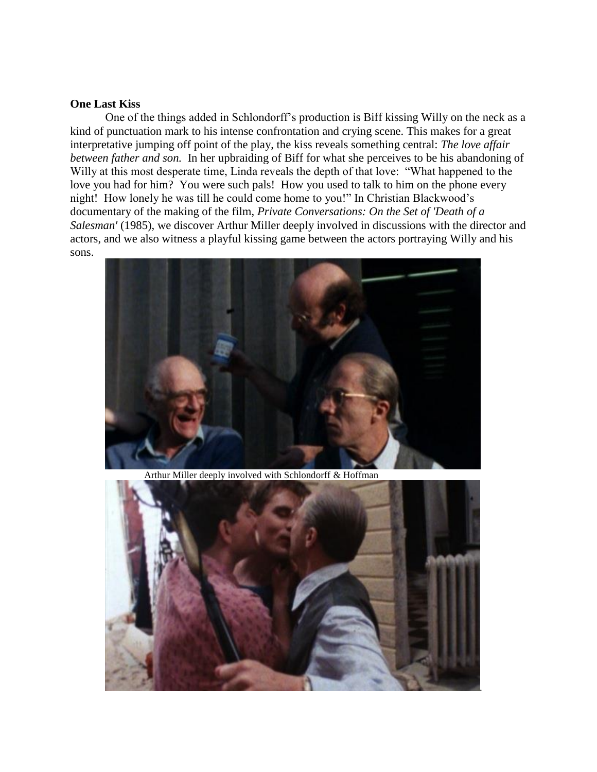### **One Last Kiss**

One of the things added in Schlondorff's production is Biff kissing Willy on the neck as a kind of punctuation mark to his intense confrontation and crying scene. This makes for a great interpretative jumping off point of the play, the kiss reveals something central: *The love affair between father and son.* In her upbraiding of Biff for what she perceives to be his abandoning of Willy at this most desperate time, Linda reveals the depth of that love: "What happened to the love you had for him? You were such pals! How you used to talk to him on the phone every night! How lonely he was till he could come home to you!" In Christian Blackwood's documentary of the making of the film, *Private Conversations: On the Set of 'Death of a Salesman'* (1985), we discover Arthur Miller deeply involved in discussions with the director and actors, and we also witness a playful kissing game between the actors portraying Willy and his sons.



Arthur Miller deeply involved with Schlondorff & Hoffman

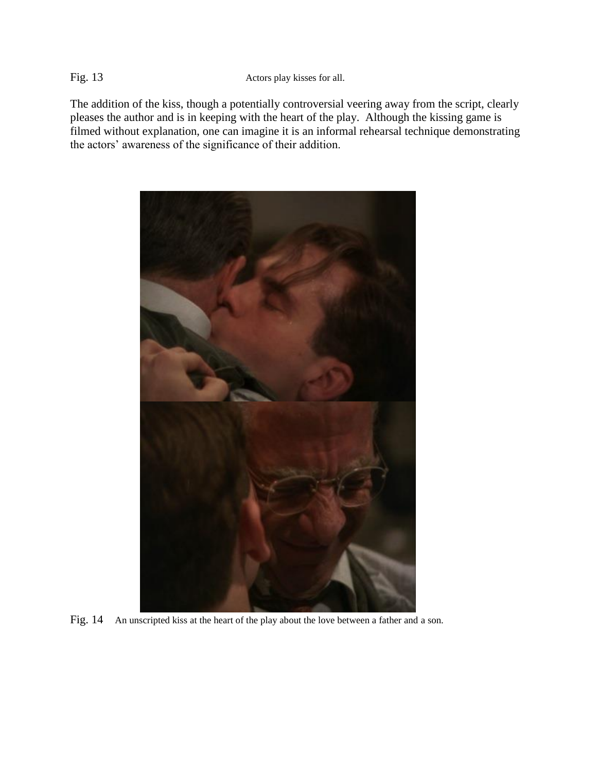Fig. 13 Actors play kisses for all.

The addition of the kiss, though a potentially controversial veering away from the script, clearly pleases the author and is in keeping with the heart of the play. Although the kissing game is filmed without explanation, one can imagine it is an informal rehearsal technique demonstrating the actors' awareness of the significance of their addition.



Fig. 14 An unscripted kiss at the heart of the play about the love between a father and a son.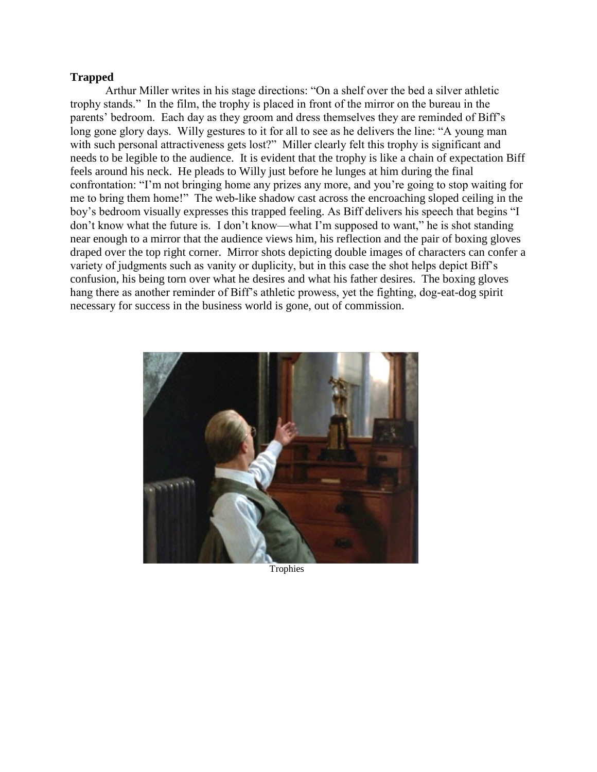## **Trapped**

Arthur Miller writes in his stage directions: "On a shelf over the bed a silver athletic trophy stands." In the film, the trophy is placed in front of the mirror on the bureau in the parents' bedroom. Each day as they groom and dress themselves they are reminded of Biff's long gone glory days. Willy gestures to it for all to see as he delivers the line: "A young man with such personal attractiveness gets lost?" Miller clearly felt this trophy is significant and needs to be legible to the audience. It is evident that the trophy is like a chain of expectation Biff feels around his neck. He pleads to Willy just before he lunges at him during the final confrontation: "I'm not bringing home any prizes any more, and you're going to stop waiting for me to bring them home!" The web-like shadow cast across the encroaching sloped ceiling in the boy's bedroom visually expresses this trapped feeling. As Biff delivers his speech that begins "I don't know what the future is. I don't know—what I'm supposed to want," he is shot standing near enough to a mirror that the audience views him, his reflection and the pair of boxing gloves draped over the top right corner. Mirror shots depicting double images of characters can confer a variety of judgments such as vanity or duplicity, but in this case the shot helps depict Biff's confusion, his being torn over what he desires and what his father desires. The boxing gloves hang there as another reminder of Biff's athletic prowess, yet the fighting, dog-eat-dog spirit necessary for success in the business world is gone, out of commission.



Trophies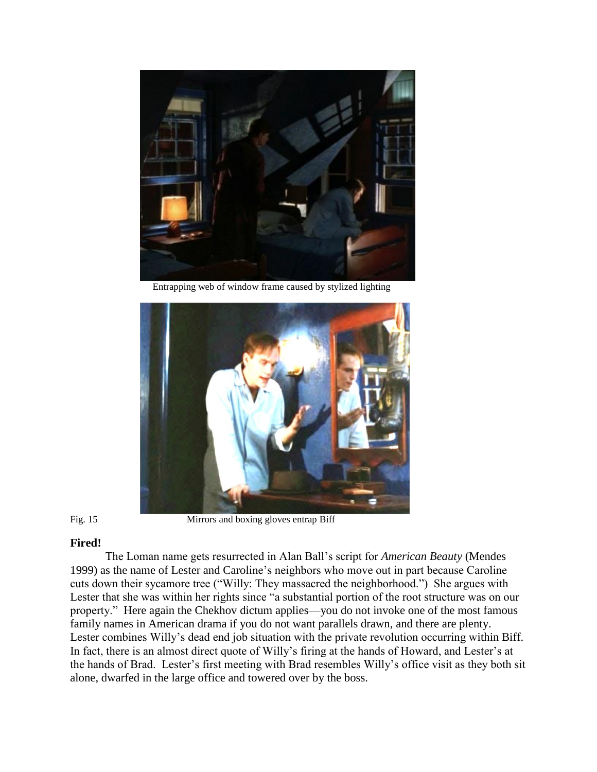

Entrapping web of window frame caused by stylized lighting



Fig. 15 Mirrors and boxing gloves entrap Biff

# **Fired!**

The Loman name gets resurrected in Alan Ball's script for *American Beauty* (Mendes 1999) as the name of Lester and Caroline's neighbors who move out in part because Caroline cuts down their sycamore tree ("Willy: They massacred the neighborhood.") She argues with Lester that she was within her rights since "a substantial portion of the root structure was on our property." Here again the Chekhov dictum applies—you do not invoke one of the most famous family names in American drama if you do not want parallels drawn, and there are plenty. Lester combines Willy's dead end job situation with the private revolution occurring within Biff. In fact, there is an almost direct quote of Willy's firing at the hands of Howard, and Lester's at the hands of Brad. Lester's first meeting with Brad resembles Willy's office visit as they both sit alone, dwarfed in the large office and towered over by the boss.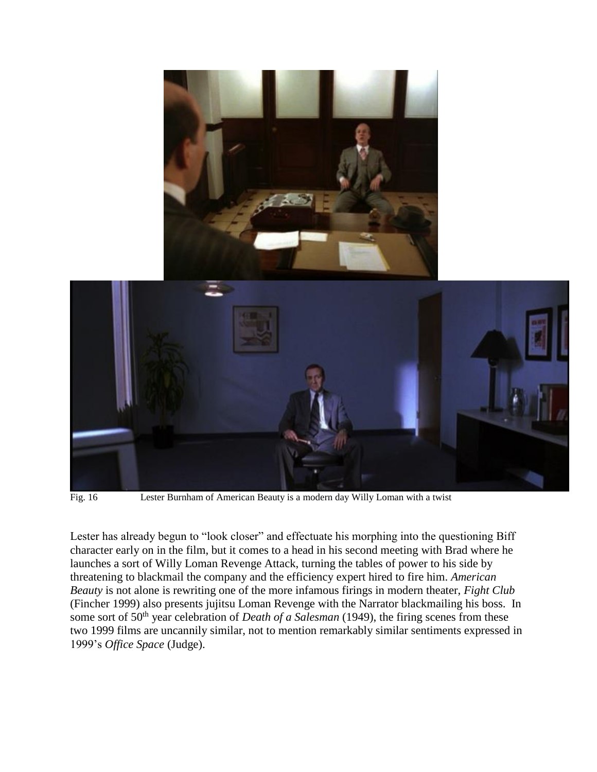

Fig. 16 Lester Burnham of American Beauty is a modern day Willy Loman with a twist

Lester has already begun to "look closer" and effectuate his morphing into the questioning Biff character early on in the film, but it comes to a head in his second meeting with Brad where he launches a sort of Willy Loman Revenge Attack, turning the tables of power to his side by threatening to blackmail the company and the efficiency expert hired to fire him. *American Beauty* is not alone is rewriting one of the more infamous firings in modern theater, *Fight Club* (Fincher 1999) also presents jujitsu Loman Revenge with the Narrator blackmailing his boss. In some sort of 50<sup>th</sup> year celebration of *Death of a Salesman* (1949), the firing scenes from these two 1999 films are uncannily similar, not to mention remarkably similar sentiments expressed in 1999's *Office Space* (Judge).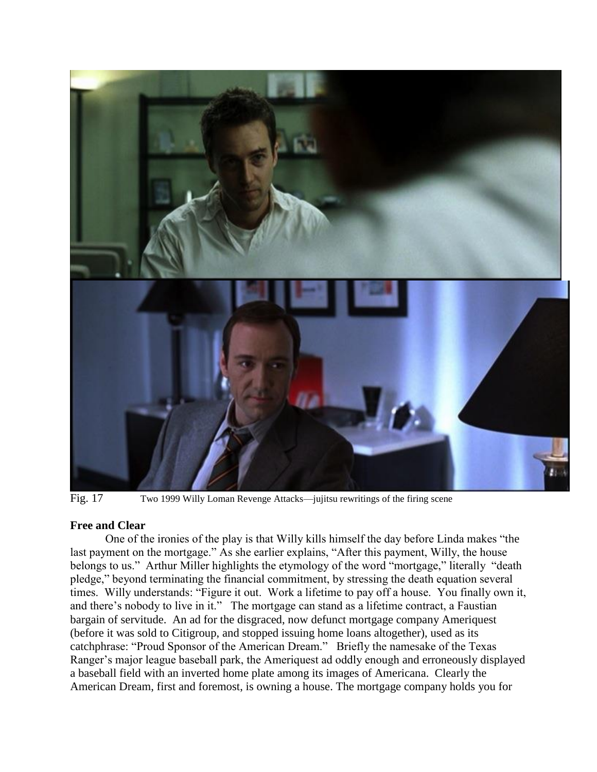

Fig. 17 Two 1999 Willy Loman Revenge Attacks—jujitsu rewritings of the firing scene

## **Free and Clear**

One of the ironies of the play is that Willy kills himself the day before Linda makes "the last payment on the mortgage." As she earlier explains, "After this payment, Willy, the house belongs to us." Arthur Miller highlights the etymology of the word "mortgage," literally "death pledge," beyond terminating the financial commitment, by stressing the death equation several times. Willy understands: "Figure it out. Work a lifetime to pay off a house. You finally own it, and there's nobody to live in it." The mortgage can stand as a lifetime contract, a Faustian bargain of servitude. An ad for the disgraced, now defunct mortgage company Ameriquest (before it was sold to Citigroup, and stopped issuing home loans altogether), used as its catchphrase: "Proud Sponsor of the American Dream." Briefly the namesake of the Texas Ranger's major league baseball park, the Ameriquest ad oddly enough and erroneously displayed a baseball field with an inverted home plate among its images of Americana. Clearly the American Dream, first and foremost, is owning a house. The mortgage company holds you for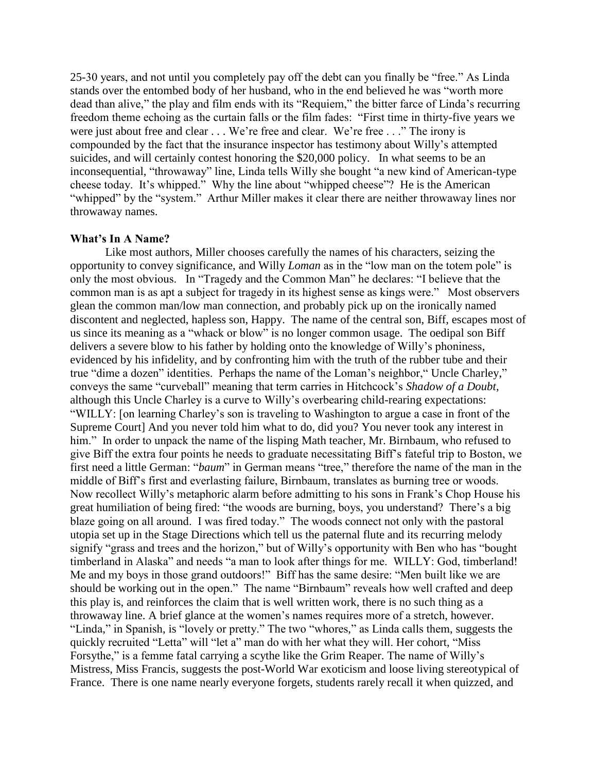25-30 years, and not until you completely pay off the debt can you finally be "free." As Linda stands over the entombed body of her husband, who in the end believed he was "worth more dead than alive," the play and film ends with its "Requiem," the bitter farce of Linda's recurring freedom theme echoing as the curtain falls or the film fades: "First time in thirty-five years we were just about free and clear . . . We're free and clear. We're free . . ." The irony is compounded by the fact that the insurance inspector has testimony about Willy's attempted suicides, and will certainly contest honoring the \$20,000 policy. In what seems to be an inconsequential, "throwaway" line, Linda tells Willy she bought "a new kind of American-type cheese today. It's whipped." Why the line about "whipped cheese"? He is the American "whipped" by the "system." Arthur Miller makes it clear there are neither throwaway lines nor throwaway names.

### **What's In A Name?**

Like most authors, Miller chooses carefully the names of his characters, seizing the opportunity to convey significance, and Willy *Loman* as in the "low man on the totem pole" is only the most obvious. In "Tragedy and the Common Man" he declares: "I believe that the common man is as apt a subject for tragedy in its highest sense as kings were." Most observers glean the common man/low man connection, and probably pick up on the ironically named discontent and neglected, hapless son, Happy. The name of the central son, Biff, escapes most of us since its meaning as a "whack or blow" is no longer common usage. The oedipal son Biff delivers a severe blow to his father by holding onto the knowledge of Willy's phoniness, evidenced by his infidelity, and by confronting him with the truth of the rubber tube and their true "dime a dozen" identities. Perhaps the name of the Loman's neighbor," Uncle Charley," conveys the same "curveball" meaning that term carries in Hitchcock's *Shadow of a Doubt*, although this Uncle Charley is a curve to Willy's overbearing child-rearing expectations: "WILLY: [on learning Charley's son is traveling to Washington to argue a case in front of the Supreme Court] And you never told him what to do, did you? You never took any interest in him." In order to unpack the name of the lisping Math teacher, Mr. Birnbaum, who refused to give Biff the extra four points he needs to graduate necessitating Biff's fateful trip to Boston, we first need a little German: "*baum*" in German means "tree," therefore the name of the man in the middle of Biff's first and everlasting failure, Birnbaum, translates as burning tree or woods. Now recollect Willy's metaphoric alarm before admitting to his sons in Frank's Chop House his great humiliation of being fired: "the woods are burning, boys, you understand? There's a big blaze going on all around. I was fired today." The woods connect not only with the pastoral utopia set up in the Stage Directions which tell us the paternal flute and its recurring melody signify "grass and trees and the horizon," but of Willy's opportunity with Ben who has "bought timberland in Alaska" and needs "a man to look after things for me. WILLY: God, timberland! Me and my boys in those grand outdoors!" Biff has the same desire: "Men built like we are should be working out in the open." The name "Birnbaum" reveals how well crafted and deep this play is, and reinforces the claim that is well written work, there is no such thing as a throwaway line. A brief glance at the women's names requires more of a stretch, however. "Linda," in Spanish, is "lovely or pretty." The two "whores," as Linda calls them, suggests the quickly recruited "Letta" will "let a" man do with her what they will. Her cohort, "Miss Forsythe," is a femme fatal carrying a scythe like the Grim Reaper. The name of Willy's Mistress, Miss Francis, suggests the post-World War exoticism and loose living stereotypical of France. There is one name nearly everyone forgets, students rarely recall it when quizzed, and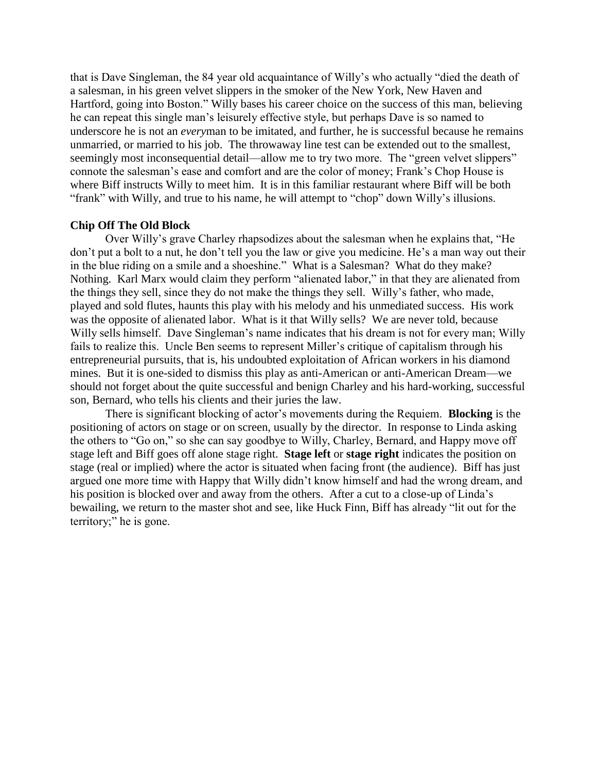that is Dave Singleman, the 84 year old acquaintance of Willy's who actually "died the death of a salesman, in his green velvet slippers in the smoker of the New York, New Haven and Hartford, going into Boston." Willy bases his career choice on the success of this man, believing he can repeat this single man's leisurely effective style, but perhaps Dave is so named to underscore he is not an *every*man to be imitated, and further, he is successful because he remains unmarried, or married to his job. The throwaway line test can be extended out to the smallest, seemingly most inconsequential detail—allow me to try two more. The "green velvet slippers" connote the salesman's ease and comfort and are the color of money; Frank's Chop House is where Biff instructs Willy to meet him. It is in this familiar restaurant where Biff will be both "frank" with Willy, and true to his name, he will attempt to "chop" down Willy's illusions.

## **Chip Off The Old Block**

Over Willy's grave Charley rhapsodizes about the salesman when he explains that, "He don't put a bolt to a nut, he don't tell you the law or give you medicine. He's a man way out their in the blue riding on a smile and a shoeshine." What is a Salesman? What do they make? Nothing. Karl Marx would claim they perform "alienated labor," in that they are alienated from the things they sell, since they do not make the things they sell. Willy's father, who made, played and sold flutes, haunts this play with his melody and his unmediated success. His work was the opposite of alienated labor. What is it that Willy sells? We are never told, because Willy sells himself. Dave Singleman's name indicates that his dream is not for every man; Willy fails to realize this. Uncle Ben seems to represent Miller's critique of capitalism through his entrepreneurial pursuits, that is, his undoubted exploitation of African workers in his diamond mines. But it is one-sided to dismiss this play as anti-American or anti-American Dream—we should not forget about the quite successful and benign Charley and his hard-working, successful son, Bernard, who tells his clients and their juries the law.

There is significant blocking of actor's movements during the Requiem. **Blocking** is the positioning of actors on stage or on screen, usually by the director. In response to Linda asking the others to "Go on," so she can say goodbye to Willy, Charley, Bernard, and Happy move off stage left and Biff goes off alone stage right. **Stage left** or **stage right** indicates the position on stage (real or implied) where the actor is situated when facing front (the audience). Biff has just argued one more time with Happy that Willy didn't know himself and had the wrong dream, and his position is blocked over and away from the others. After a cut to a close-up of Linda's bewailing, we return to the master shot and see, like Huck Finn, Biff has already "lit out for the territory;" he is gone.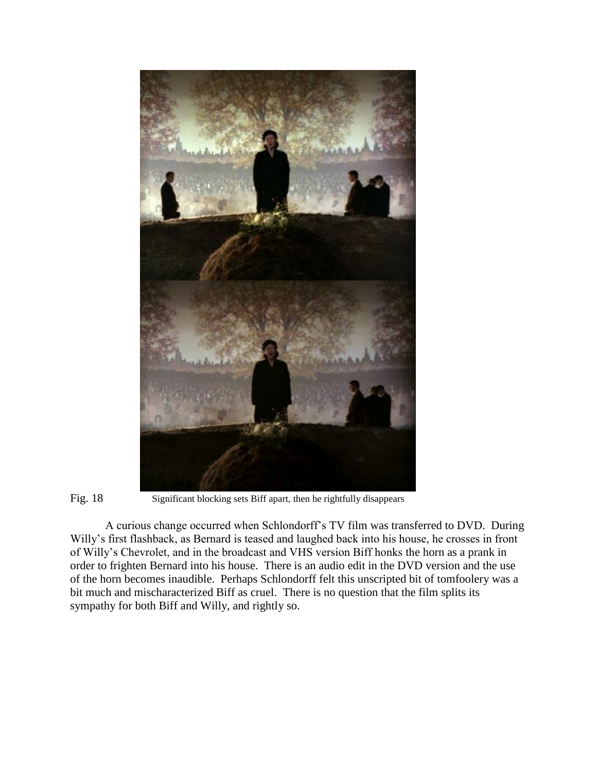



Fig. 18 Significant blocking sets Biff apart, then he rightfully disappears

A curious change occurred when Schlondorff's TV film was transferred to DVD. During Willy's first flashback, as Bernard is teased and laughed back into his house, he crosses in front of Willy's Chevrolet, and in the broadcast and VHS version Biff honks the horn as a prank in order to frighten Bernard into his house. There is an audio edit in the DVD version and the use of the horn becomes inaudible. Perhaps Schlondorff felt this unscripted bit of tomfoolery was a bit much and mischaracterized Biff as cruel. There is no question that the film splits its sympathy for both Biff and Willy, and rightly so.